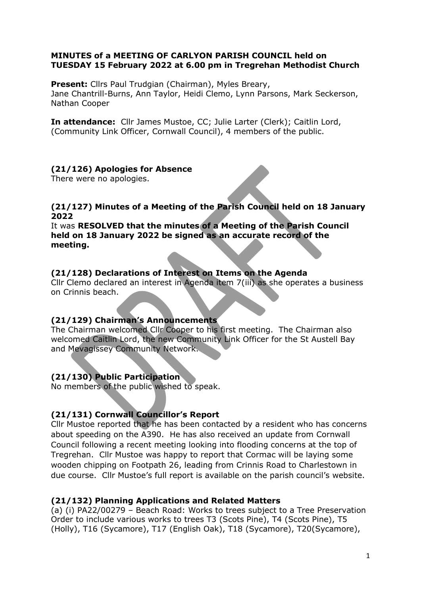### MINUTES of a MEETING OF CARLYON PARISH COUNCIL held on TUESDAY 15 February 2022 at 6.00 pm in Tregrehan Methodist Church

Present: Cllrs Paul Trudgian (Chairman), Myles Breary, Jane Chantrill-Burns, Ann Taylor, Heidi Clemo, Lynn Parsons, Mark Seckerson, Nathan Cooper

In attendance: Cllr James Mustoe, CC; Julie Larter (Clerk); Caitlin Lord, (Community Link Officer, Cornwall Council), 4 members of the public.

## (21/126) Apologies for Absence

There were no apologies.

#### (21/127) Minutes of a Meeting of the Parish Council held on 18 January 2022

It was RESOLVED that the minutes of a Meeting of the Parish Council held on 18 January 2022 be signed as an accurate record of the meeting.

## (21/128) Declarations of Interest on Items on the Agenda

Cllr Clemo declared an interest in Agenda item 7(iii) as she operates a business on Crinnis beach.

### (21/129) Chairman's Announcements

The Chairman welcomed Cllr Cooper to his first meeting. The Chairman also welcomed Caitlin Lord, the new Community Link Officer for the St Austell Bay and Mevagissey Community Network.

## (21/130) Public Participation

No members of the public wished to speak.

## (21/131) Cornwall Councillor's Report

Cllr Mustoe reported that he has been contacted by a resident who has concerns about speeding on the A390. He has also received an update from Cornwall Council following a recent meeting looking into flooding concerns at the top of Tregrehan. Cllr Mustoe was happy to report that Cormac will be laying some wooden chipping on Footpath 26, leading from Crinnis Road to Charlestown in due course. Cllr Mustoe's full report is available on the parish council's website.

### (21/132) Planning Applications and Related Matters

(a) (i) PA22/00279 – Beach Road: Works to trees subject to a Tree Preservation Order to include various works to trees T3 (Scots Pine), T4 (Scots Pine), T5 (Holly), T16 (Sycamore), T17 (English Oak), T18 (Sycamore), T20(Sycamore),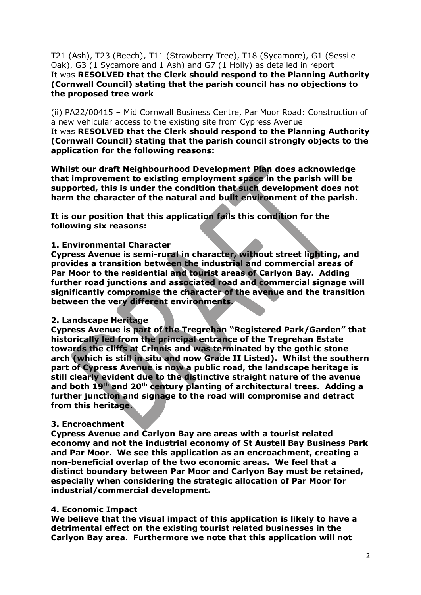T21 (Ash), T23 (Beech), T11 (Strawberry Tree), T18 (Sycamore), G1 (Sessile Oak), G3 (1 Sycamore and 1 Ash) and G7 (1 Holly) as detailed in report It was RESOLVED that the Clerk should respond to the Planning Authority (Cornwall Council) stating that the parish council has no objections to the proposed tree work

(ii) PA22/00415 – Mid Cornwall Business Centre, Par Moor Road: Construction of a new vehicular access to the existing site from Cypress Avenue

It was RESOLVED that the Clerk should respond to the Planning Authority (Cornwall Council) stating that the parish council strongly objects to the application for the following reasons:

Whilst our draft Neighbourhood Development Plan does acknowledge that improvement to existing employment space in the parish will be supported, this is under the condition that such development does not harm the character of the natural and built environment of the parish.

It is our position that this application fails this condition for the following six reasons:

#### 1. Environmental Character

Cypress Avenue is semi-rural in character, without street lighting, and provides a transition between the industrial and commercial areas of Par Moor to the residential and tourist areas of Carlyon Bay. Adding further road junctions and associated road and commercial signage will significantly compromise the character of the avenue and the transition between the very different environments.

#### 2. Landscape Heritage

Cypress Avenue is part of the Tregrehan "Registered Park/Garden" that historically led from the principal entrance of the Tregrehan Estate towards the cliffs at Crinnis and was terminated by the gothic stone arch (which is still in situ and now Grade II Listed). Whilst the southern part of Cypress Avenue is now a public road, the landscape heritage is still clearly evident due to the distinctive straight nature of the avenue and both 19th and 20th century planting of architectural trees. Adding a further junction and signage to the road will compromise and detract from this heritage.

### 3. Encroachment

Cypress Avenue and Carlyon Bay are areas with a tourist related economy and not the industrial economy of St Austell Bay Business Park and Par Moor. We see this application as an encroachment, creating a non-beneficial overlap of the two economic areas. We feel that a distinct boundary between Par Moor and Carlyon Bay must be retained, especially when considering the strategic allocation of Par Moor for industrial/commercial development.

#### 4. Economic Impact

We believe that the visual impact of this application is likely to have a detrimental effect on the existing tourist related businesses in the Carlyon Bay area. Furthermore we note that this application will not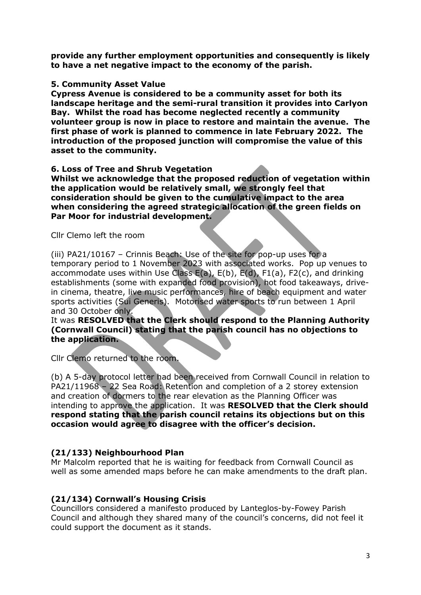provide any further employment opportunities and consequently is likely to have a net negative impact to the economy of the parish.

#### 5. Community Asset Value

Cypress Avenue is considered to be a community asset for both its landscape heritage and the semi-rural transition it provides into Carlyon Bay. Whilst the road has become neglected recently a community volunteer group is now in place to restore and maintain the avenue. The first phase of work is planned to commence in late February 2022. The introduction of the proposed junction will compromise the value of this asset to the community.

#### 6. Loss of Tree and Shrub Vegetation

Whilst we acknowledge that the proposed reduction of vegetation within the application would be relatively small, we strongly feel that consideration should be given to the cumulative impact to the area when considering the agreed strategic allocation of the green fields on Par Moor for industrial development.

Cllr Clemo left the room

(iii) PA21/10167 – Crinnis Beach: Use of the site for pop-up uses for a temporary period to 1 November 2023 with associated works. Pop up venues to accommodate uses within Use Class E(a), E(b), E(d), F1(a), F2(c), and drinking establishments (some with expanded food provision), hot food takeaways, drivein cinema, theatre, live music performances, hire of beach equipment and water sports activities (Sui Generis). Motorised water sports to run between 1 April and 30 October only.

#### It was RESOLVED that the Clerk should respond to the Planning Authority (Cornwall Council) stating that the parish council has no objections to the application.

Cllr Clemo returned to the room.

(b) A 5-day protocol letter had been received from Cornwall Council in relation to PA21/11968 – 22 Sea Road: Retention and completion of a 2 storey extension and creation of dormers to the rear elevation as the Planning Officer was intending to approve the application. It was RESOLVED that the Clerk should respond stating that the parish council retains its objections but on this occasion would agree to disagree with the officer's decision.

### (21/133) Neighbourhood Plan

Mr Malcolm reported that he is waiting for feedback from Cornwall Council as well as some amended maps before he can make amendments to the draft plan.

### (21/134) Cornwall's Housing Crisis

Councillors considered a manifesto produced by Lanteglos-by-Fowey Parish Council and although they shared many of the council's concerns, did not feel it could support the document as it stands.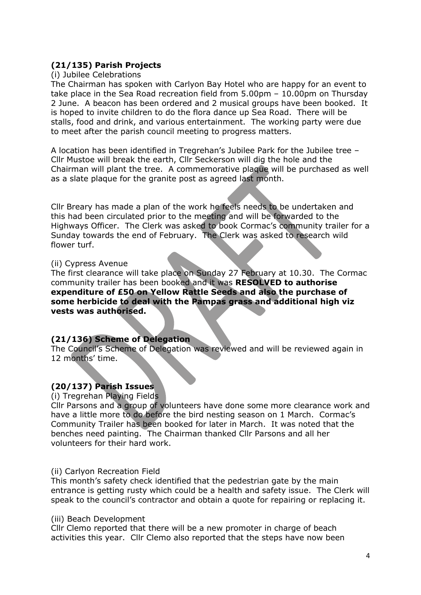## (21/135) Parish Projects

#### (i) Jubilee Celebrations

The Chairman has spoken with Carlyon Bay Hotel who are happy for an event to take place in the Sea Road recreation field from 5.00pm – 10.00pm on Thursday 2 June. A beacon has been ordered and 2 musical groups have been booked. It is hoped to invite children to do the flora dance up Sea Road. There will be stalls, food and drink, and various entertainment. The working party were due to meet after the parish council meeting to progress matters.

A location has been identified in Tregrehan's Jubilee Park for the Jubilee tree – Cllr Mustoe will break the earth, Cllr Seckerson will dig the hole and the Chairman will plant the tree. A commemorative plaque will be purchased as well as a slate plaque for the granite post as agreed last month.

Cllr Breary has made a plan of the work he feels needs to be undertaken and this had been circulated prior to the meeting and will be forwarded to the Highways Officer. The Clerk was asked to book Cormac's community trailer for a Sunday towards the end of February. The Clerk was asked to research wild flower turf.

#### (ii) Cypress Avenue

The first clearance will take place on Sunday 27 February at 10.30. The Cormac community trailer has been booked and it was RESOLVED to authorise expenditure of £50 on Yellow Rattle Seeds and also the purchase of some herbicide to deal with the Pampas grass and additional high viz vests was authorised.

### (21/136) Scheme of Delegation

The Council's Scheme of Delegation was reviewed and will be reviewed again in 12 months' time.

## (20/137) Parish Issues

(i) Tregrehan Playing Fields

Cllr Parsons and a group of volunteers have done some more clearance work and have a little more to do before the bird nesting season on 1 March. Cormac's Community Trailer has been booked for later in March. It was noted that the benches need painting. The Chairman thanked Cllr Parsons and all her volunteers for their hard work.

### (ii) Carlyon Recreation Field

This month's safety check identified that the pedestrian gate by the main entrance is getting rusty which could be a health and safety issue. The Clerk will speak to the council's contractor and obtain a quote for repairing or replacing it.

#### (iii) Beach Development

Cllr Clemo reported that there will be a new promoter in charge of beach activities this year. Cllr Clemo also reported that the steps have now been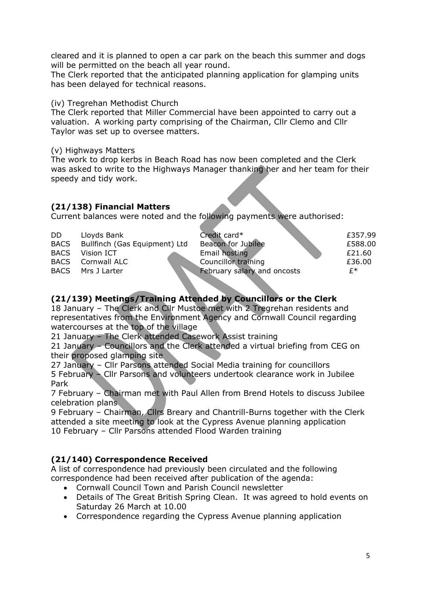cleared and it is planned to open a car park on the beach this summer and dogs will be permitted on the beach all year round.

The Clerk reported that the anticipated planning application for glamping units has been delayed for technical reasons.

#### (iv) Tregrehan Methodist Church

The Clerk reported that Miller Commercial have been appointed to carry out a valuation. A working party comprising of the Chairman, Cllr Clemo and Cllr Taylor was set up to oversee matters.

(v) Highways Matters

The work to drop kerbs in Beach Road has now been completed and the Clerk was asked to write to the Highways Manager thanking her and her team for their speedy and tidy work.

## (21/138) Financial Matters

Current balances were noted and the following payments were authorised:

| DD.         | Lloyds Bank                   | Credit card*                | £357.99 |
|-------------|-------------------------------|-----------------------------|---------|
| <b>BACS</b> | Bullfinch (Gas Equipment) Ltd | Beacon for Jubilee          | £588.00 |
| <b>BACS</b> | Vision ICT                    | Email hosting               | £21.60  |
|             | <b>BACS</b> Cornwall ALC      | <b>Councillor training</b>  | £36.00  |
|             | BACS Mrs J Larter             | February salary and oncosts | f*      |

# (21/139) Meetings/Training Attended by Councillors or the Clerk

18 January – The Clerk and Cllr Mustoe met with 2 Tregrehan residents and representatives from the Environment Agency and Cornwall Council regarding watercourses at the top of the village

21 January – The Clerk attended Casework Assist training

21 January – Councillors and the Clerk attended a virtual briefing from CEG on their proposed glamping site

27 January – Cllr Parsons attended Social Media training for councillors

5 February – Cllr Parsons and volunteers undertook clearance work in Jubilee Park

7 February – Chairman met with Paul Allen from Brend Hotels to discuss Jubilee celebration plans

9 February – Chairman, Cllrs Breary and Chantrill-Burns together with the Clerk attended a site meeting to look at the Cypress Avenue planning application 10 February – Cllr Parsons attended Flood Warden training

## (21/140) Correspondence Received

A list of correspondence had previously been circulated and the following correspondence had been received after publication of the agenda:

- Cornwall Council Town and Parish Council newsletter
- Details of The Great British Spring Clean. It was agreed to hold events on Saturday 26 March at 10.00
- Correspondence regarding the Cypress Avenue planning application